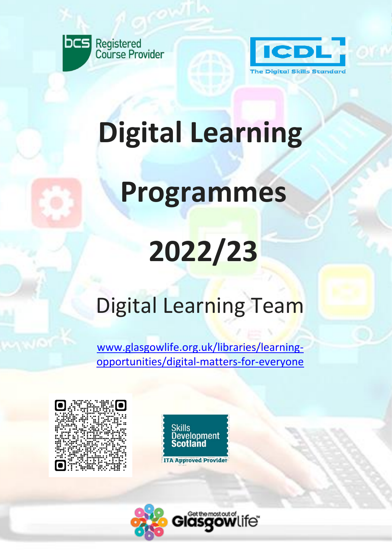



# **Digital Learning**

### **Programmes**

## **2022/23**

### Digital Learning Team

[www.glasgowlife.org.uk/libraries/learning](http://www.glasgowlife.org.uk/libraries/learning-opportunities/digital-matters-for-everyone)[opportunities/digital-matters-for-everyone](http://www.glasgowlife.org.uk/libraries/learning-opportunities/digital-matters-for-everyone) 





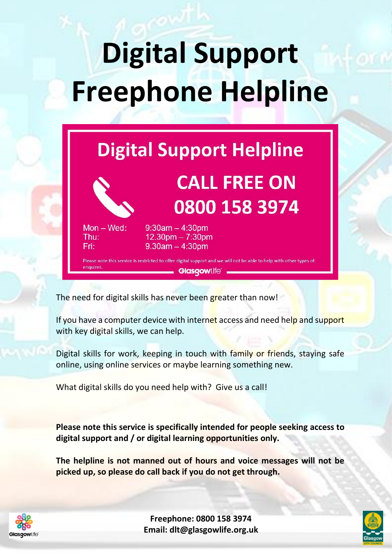# **Digital Support Freephone Helpline**

### **Digital Support Helpline**

**CALL FREE ON** 

0800 158 3974



 $Mon - Wed:$ 

Thu:

Fri:

#### $9:30am - 4:30dm$  $12.30<sub>pm</sub> - 7:30<sub>pm</sub>$  $9.30$ am  $-4:30$ pm

Please note this service is restricted to offer digital support and we will not be able to help with other types of enquires **Glasgowlife®** 

The need for digital skills has never been greater than now!

If you have a computer device with internet access and need help and support with key digital skills, we can help.

Digital skills for work, keeping in touch with family or friends, staying safe online, using online services or maybe learning something new.

What digital skills do you need help with? Give us a call!

**Please note this service is specifically intended for people seeking access to digital support and / or digital learning opportunities only.**

**The helpline is not manned out of hours and voice messages will not be picked up, so please do call back if you do not get through.**



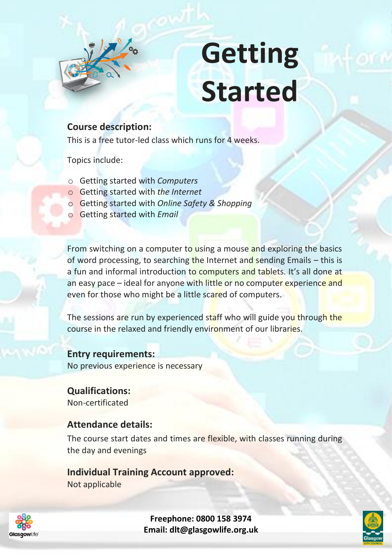

## **Getting Started**

#### **Course description:**

This is a free tutor-led class which runs for 4 weeks.

Topics include:

- o Getting started with *Computers*
- o Getting started with *the Internet*
- o Getting started with *Online Safety & Shopping*
- o Getting started with *Email*

From switching on a computer to using a mouse and exploring the basics of word processing, to searching the Internet and sending Emails  $-$  this is a fun and informal introduction to computers and tablets. It's all done at an easy pace – ideal for anyone with little or no computer experience and even for those who might be a little scared of computers.

The sessions are run by experienced staff who will guide you through the course in the relaxed and friendly environment of our libraries.

**Entry requirements:** No previous experience is necessary

**Qualifications:** Non-certificated

#### **Attendance details:**

The course start dates and times are flexible, with classes running during the day and evenings

#### **Individual Training Account approved:**

Not applicable



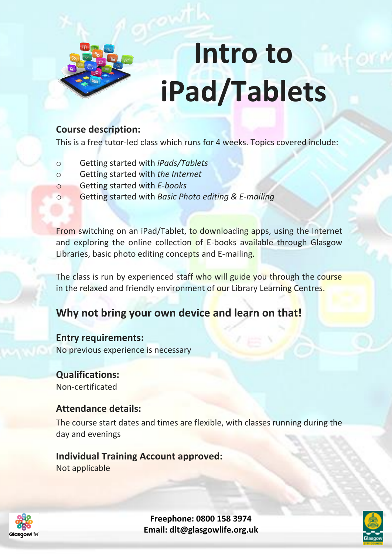

# **Intro to iPad/Tablets**

#### **Course description:**

This is a free tutor-led class which runs for 4 weeks. Topics covered include:

- o Getting started with *iPads/Tablets*
- o Getting started with *the Internet*
- o Getting started with *E-books*
- o Getting started with *Basic Photo editing & E-mailing*

From switching on an iPad/Tablet, to downloading apps, using the Internet and exploring the online collection of E-books available through Glasgow Libraries, basic photo editing concepts and E-mailing.

The class is run by experienced staff who will guide you through the course in the relaxed and friendly environment of our Library Learning Centres.

### **Why not bring your own device and learn on that!**

#### **Entry requirements:**

No previous experience is necessary

**Qualifications:** Non-certificated

#### **Attendance details:**

The course start dates and times are flexible, with classes running during the day and evenings

**Individual Training Account approved:** Not applicable



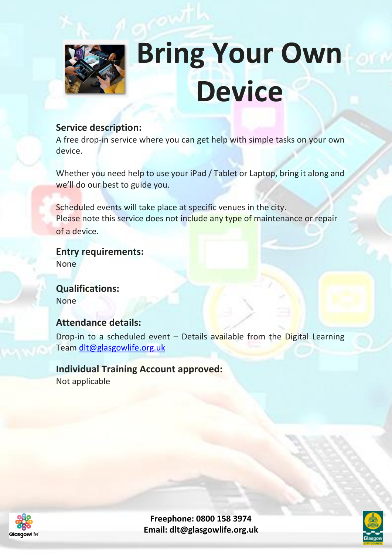

### **Bring Your Own Device**

#### **Service description:**

A free drop-in service where you can get help with simple tasks on your own device.

Whether you need help to use your iPad / Tablet or Laptop, bring it along and we'll do our best to guide you.

Scheduled events will take place at specific venues in the city. Please note this service does not include any type of maintenance or repair of a device.

**Entry requirements:** None

**Qualifications:** None

#### **Attendance details:**

Drop-in to a scheduled event  $-$  Details available from the Digital Learning Team [dlt@glasgowlife.org.uk](mailto:dlt@glasgowlife.org.uk) 

### **Individual Training Account approved:**

Not applicable

Glasgowlife

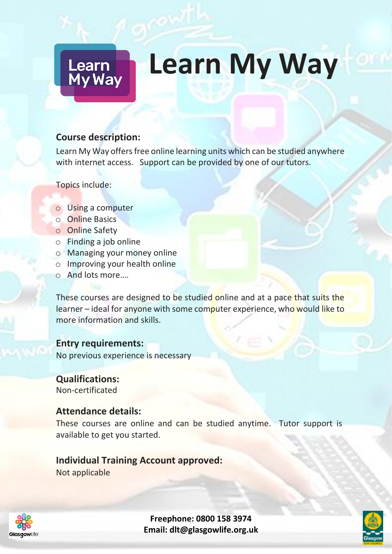### **Learn My Way**

#### **Course description:**

Learn<br>My Way

Learn My Way offers free online learning units which can be studied anywhere with internet access. Support can be provided by one of our tutors.

Topics include:

- o Using a computer
- o Online Basics
- o Online Safety
- o Finding a job online
- o Managing your money online
- o Improving your health online
- o And lots more….

These courses are designed to be studied online and at a pace that suits the learner – ideal for anyone with some computer experience, who would like to more information and skills.

**Entry requirements:**

No previous experience is necessary

**Qualifications:** Non-certificated

#### **Attendance details:**

These courses are online and can be studied anytime. Tutor support is available to get you started.

#### **Individual Training Account approved:**

Not applicable



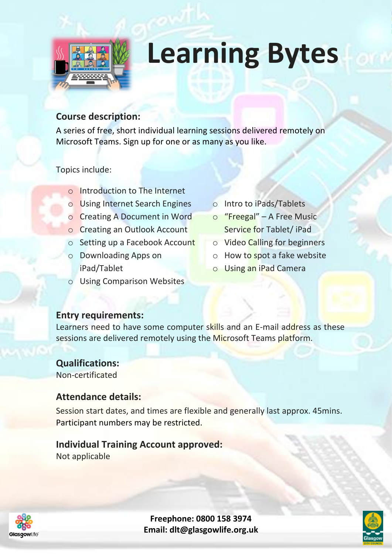

### **Learning Bytes**

#### **Course description:**

A series of free, short individual learning sessions delivered remotely on Microsoft Teams. Sign up for one or as many as you like.

Topics include:

- o Introduction to The Internet
- o Using Internet Search Engines
- o Creating A Document in Word
- o Creating an Outlook Account
- o Setting up a Facebook Account
- o Downloading Apps on iPad/Tablet
- o Using Comparison Websites
- o Intro to iPads/Tablets
- o "Freegal" A Free Music Service for Tablet/ iPad
- o Video Calling for beginners
- $\circ$  How to spot a fake website
- o Using an iPad Camera

#### **Entry requirements:**

Learners need to have some computer skills and an E-mail address as these sessions are delivered remotely using the Microsoft Teams platform.

**Qualifications:** Non-certificated

#### **Attendance details:**

Session start dates, and times are flexible and generally last approx. 45mins. Participant numbers may be restricted.

#### **Individual Training Account approved:**

Not applicable





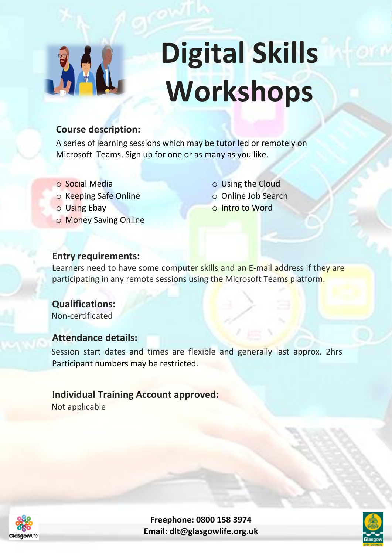

# **Digital Skills Workshops**

#### **Course description:**

A series of learning sessions which may be tutor led or remotely on Microsoft Teams. Sign up for one or as many as you like.

- o Social Media
- o Keeping Safe Online
- o Using Ebay
- o Money Saving Online

o Using the Cloud o Online Job Search o Intro to Word

#### **Entry requirements:**

Learners need to have some computer skills and an E-mail address if they are participating in any remote sessions using the Microsoft Teams platform.

 **Qualifications:** Non-certificated

#### **Attendance details:**

 Session start dates and times are flexible and generally last approx. 2hrs Participant numbers may be restricted.

#### **Individual Training Account approved:**

Not applicable



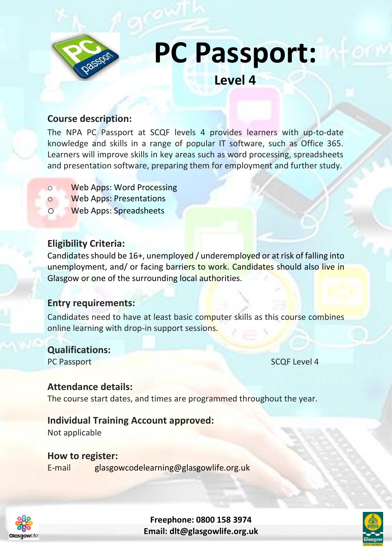

**PC Passport:** 

**Level 4**

#### **Course description:**

The NPA PC Passport at SCQF levels 4 provides learners with up-to-date knowledge and skills in a range of popular IT software, such as Office 365. Learners will improve skills in key areas such as word processing, spreadsheets and presentation software, preparing them for employment and further study.

- o Web Apps: Word Processing
- o Web Apps: Presentations
- o Web Apps: Spreadsheets

#### **Eligibility Criteria:**

Candidates should be 16+, unemployed / underemployed or at risk of falling into unemployment, and/ or facing barriers to work. Candidates should also live in Glasgow or one of the surrounding local authorities.

#### **Entry requirements:**

Candidates need to have at least basic computer skills as this course combines online learning with drop-in support sessions.

#### **Qualifications:**

PC Passport SCQF Level 4

#### **Attendance details:**

The course start dates, and times are programmed throughout the year.

#### **Individual Training Account approved:**

Not applicable

Glasgowlife

#### **How to register:**

E-mail glasgowcodelearning@glasgowlife.org.uk



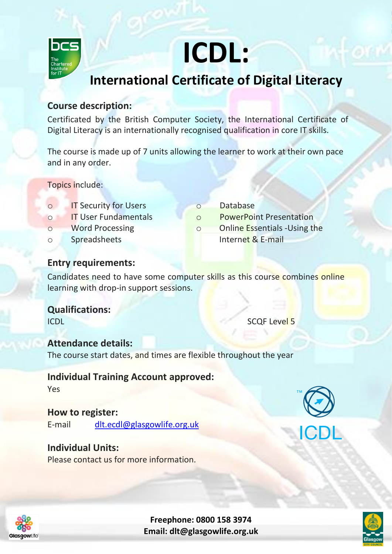

### **ICDL:**

### **International Certificate of Digital Literacy**

#### **Course description:**

Certificated by the British Computer Society, the International Certificate of Digital Literacy is an internationally recognised qualification in core IT skills.

The course is made up of 7 units allowing the learner to work at their own pace and in any order.

Topics include:

- o IT Security for Users
- o IT User Fundamentals
- o Word Processing
- o Spreadsheets
- o Database
- o PowerPoint Presentation
- o Online Essentials -Using the
	- Internet & E-mail

#### **Entry requirements:**

Candidates need to have some computer skills as this course combines online learning with drop-in support sessions.

**Qualifications:** ICDL SCOF Level 5

#### **Attendance details:**

The course start dates, and times are flexible throughout the year

#### **Individual Training Account approved:**

Yes

#### **How to register:**

E-mail [dlt.ecdl@glasgowlife.org.uk](mailto:dlt.ecdl@glasgowlife.org.uk)

#### **Individual Units:**

Please contact us for more information.





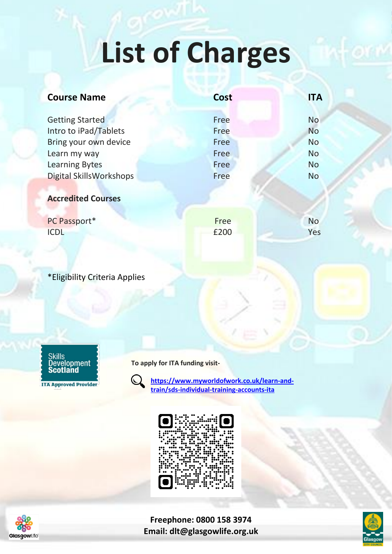### **List of Charges**

| <b>Course Name</b>                              | <b>Cost</b>  | <b>ITA</b>             |
|-------------------------------------------------|--------------|------------------------|
| <b>Getting Started</b><br>Intro to iPad/Tablets | Free<br>Free | <b>No</b><br><b>No</b> |
| Bring your own device                           | Free         | <b>No</b>              |
| Learn my way                                    | Free         | <b>No</b>              |
| <b>Learning Bytes</b>                           | Free         | <b>No</b>              |
| Digital SkillsWorkshops                         | Free         | <b>No</b>              |
| <b>Accredited Courses</b>                       |              |                        |

| PC Passport* | Free | <b>No</b> |
|--------------|------|-----------|
| <b>ICDL</b>  | £200 | Yes       |

\*Eligibility Criteria Applies



**ITA Approved Provider** 

**To apply for ITA funding visit-**



**[https://www.myworldofwork.co.uk/learn-and](https://www.myworldofwork.co.uk/learn-and-train/sds-individual-training-accounts-ita)[train/sds-individual-training-accounts-ita](https://www.myworldofwork.co.uk/learn-and-train/sds-individual-training-accounts-ita)**